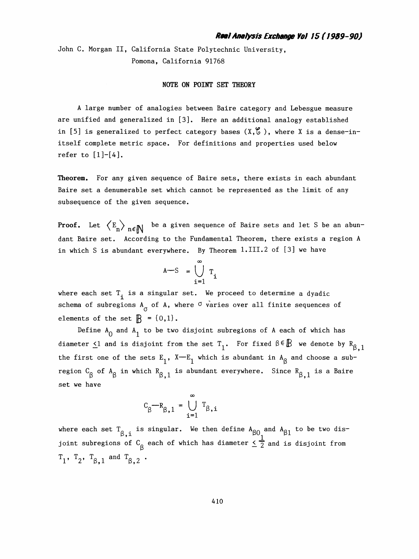John C. Morgan II, California State Polytechnic University, Pomona, California 91768

## NOTE ON POINT SET THEORY

 A large number of analogies between Baire category and Lebesgue measure are unified and generalized in [3]. Here an additional analogy established in [5] is generalized to perfect category bases  $(X,\mathcal{C})$ , where X is a dense-in itself complete metric space. For definitions and properties used below refer to  $[1]$ - $[4]$ .

 Theorem. For any given sequence of Baire sets, there exists in each abundant Baire set a denumerable set which cannot be represented as the limit of any subsequence of the given sequence.

**Proof.** Let  $\left\langle E_n \right\rangle_{n \in \mathbb{N}}$  be a given sequence of Baire sets and let S be an abun dant Baire set. According to the Fundamental Theorem, there exists a region A in which S is abundant everywhere. By Theorem 1.III.2 of [3] we have

$$
A-S = \bigcup_{i=1}^{\infty} T_i
$$

where each set  $T^{\text{}}_i$  is a singular set. We proceed to determine a dyadic schema of subregions  $A^{\sigma}$  of A, where <sup> $\sigma$ </sup> varies over all finite sequences of elements of the set  $\mathbb{R} = \{0,1\}$ .

Define  $A^0$  and  $A^1$  to be two disjoint subregions of A each of which has diameter  $\leq 1$  and is disjoint from the set  $T^1$ . For fixed  $\beta \in \mathbb{B}$  we denote by  $R^1_{\beta, 1}$ the first one of the sets  $E^1$ , X - E<sub>1</sub> which is abundant in  $A^8$  and choose a subregion  $\texttt{C}_{\textsf{R}}$  of  $\texttt{A}_{\textsf{R}}$  in which  $\texttt{R}_{\textsf{R}=1}$  is a  $\texttt{s}$  is a  $\texttt{B}$  is a  $\texttt{B}$  is a  $\texttt{B}$ t one of the sets  $E_1$ ,  $X-E_1$  which is abundant in  $A_\beta$  and c<br> $\beta$  of  $A_\beta$  in which  $R_{\beta,1}$  is abundant everywhere. Since  $R_{\beta,1}$ <br>ave set we have

$$
C_{\beta} - R_{\beta,1} = \bigcup_{i=1}^{\infty} T_{\beta,i}
$$

where each set  $\texttt{T}_{\textsf{R}-\texttt{i}}$  is singular. We then define  $\texttt{A}_{\textsf{R}\texttt{O}}$  and  $\texttt{A}_{\textsf{R}\texttt{1}}$  to be two dis $e_{\beta,i}$  is singular. We then define  $A_{\beta 0}$  and  $A_{\beta 1}$ <br>of  $C_o$  each of which has diameter  $\leq \frac{1}{2}$  and is where each set  ${}^{1}_{\beta,i}$  is singular. We then define  ${}^{A}\beta 0$  and  ${}^{A}\beta 1$  to be two dis-<br>joint subregions of  ${}^{C}_{\beta}$  each of which has diameter  $\leq \frac{1}{2}$  and is disjoint from joint subregions of  $C_{\beta}$  each of which has diameter  $\leq \frac{1}{2}$  and is disjoint from<br>T<sub>1</sub>, T<sub>2</sub>, T<sub>β,1</sub> and T<sub>β,2</sub> •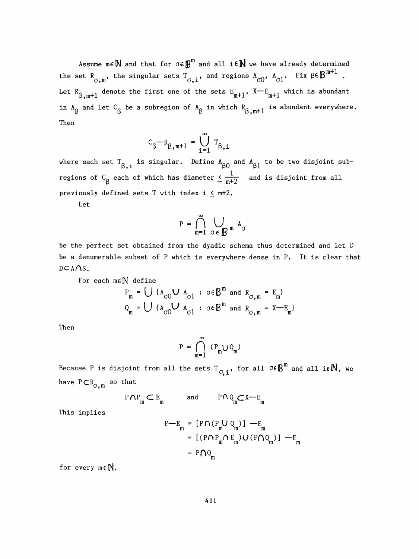Assume  $m \in \mathbb{N}$  and that for  $\sigma \in \mathbb{B}^m$  and all i $\in \mathbb{N}$  we have already determined the set  $R_{\sigma,\mathfrak{m}'},$  the singular sets  $T_{\sigma,\mathtt{i}'},$  and regions  $A_{\sigma 0},$   $A_{\sigma 1}.$  Fix  $\beta \in \mathbb{B}^{\mathfrak{m}+1}$  . Let R<sub>0.m+1</sub> denote the first one of the sets  $E_{m+1}$ , X- $E_{m+1}$  which is abundant in  ${\tt A}_{\sf R}$  and let  ${\tt C}_{\sf R}$  be a subregion of  ${\tt A}_{\sf R}$  in which  ${\tt R}_{\sf R\_\text{m+1}}$  is abundant everywhere.  $R_{\beta,m+1}$  denote the first one of the sets  $E_{m+1}$ ,  $A =$ <br> $R_{\beta}$  and let  $C_{\beta}$  be a subregion of  $A_{\beta}$  in which  $R_{\beta,m+1}$ Then

$$
C_{\beta} - R_{\beta, m+1} = \bigcup_{i=1}^{\infty} T_{\beta, i}
$$

where each set  $T_{\beta, i}$  is singular. Define  $A_{\beta 0}$  and  $A_{\beta 1}$  to be two disjoint subregions of  $\textsf{C}_{\textsf{g}}$  each of which has diameter  $\leq \frac{1}{\mathfrak{m}+2}$  and is disjoint from all et  ${}^1\beta$ , is singular. Define  ${}^A\beta_0$  a<br> ${}^B\beta$  each of which has diameter  $\leq \frac{1}{m+2}$ previously defined sets T with index  $i \leq m+2$ .

Let

$$
P = \bigcap_{m=1}^{\infty} \bigcup_{\sigma \in \mathbb{B}^m} A_{\sigma}
$$

 be the perfect set obtained from the dyadic schema thus determined and let D be a denumerable subset of P which is everywhere dense in P. It is clear that  $DCAOS$ .

For each 
$$
m \in \mathbb{N}
$$
 define  
\n
$$
P_m = \bigcup \{ A_{\sigma 0} \cup A_{\sigma 1} : \sigma \in \mathbb{B}^m \text{ and } R_{\sigma, m} = E_m \}
$$
\n
$$
Q_m = \bigcup \{ A_{\sigma 0} \cup A_{\sigma 1} : \sigma \in \mathbb{B}^m \text{ and } R_{\sigma, m} = X - E_m \}
$$

Then

$$
P = \bigcap_{m=1}^{\infty} (P_m \cup Q_m)
$$

Because P is disjoint from all the sets  $T_{\sigma, i}$ , for all  $\sigma \in \mathbb{B}^m$  and all i $\epsilon \mathbb{N}$ , we have  $P \subset R_{\sigma, m}$  so that

$$
P \cap P_m \subset E_m \qquad \text{and} \qquad P \cap Q_m \subset X \longrightarrow E_m
$$

This implies

$$
P - E_m = [P \cap (P_m U Q_m)] - E_m
$$
  
= [(P \cap P\_m \cap E\_m) U (P \cap Q\_m)] - E\_m  
= P \cap Q\_m

for every  $m \in \mathbb{N}$ .